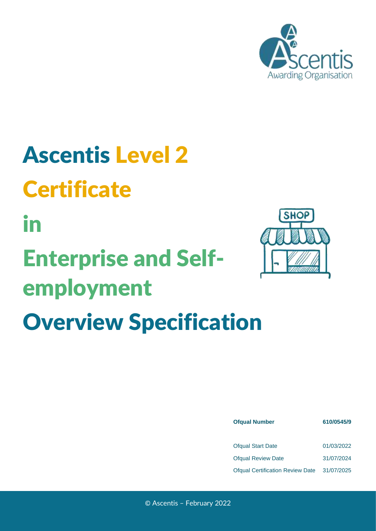

## Ascentis Level 2 **Certificate** in Enterprise and Self-

# employment Overview Specification



| <b>Ofqual Number</b>                    | 610/0545/9 |  |  |
|-----------------------------------------|------------|--|--|
|                                         |            |  |  |
| <b>Ofqual Start Date</b>                | 01/03/2022 |  |  |
| <b>Ofqual Review Date</b>               | 31/07/2024 |  |  |
| <b>Ofqual Certification Review Date</b> | 31/07/2025 |  |  |

© Ascentis – February 2022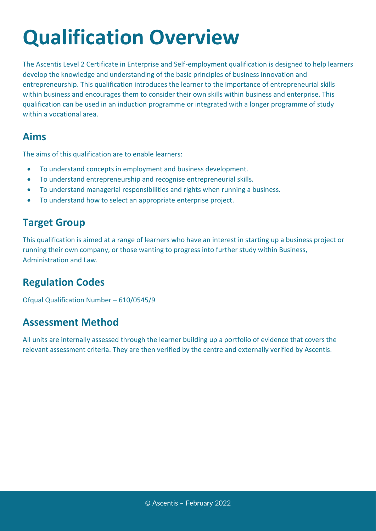### **Qualification Overview**

The Ascentis Level 2 Certificate in Enterprise and Self-employment qualification is designed to help learners develop the knowledge and understanding of the basic principles of business innovation and entrepreneurship. This qualification introduces the learner to the importance of entrepreneurial skills within business and encourages them to consider their own skills within business and enterprise. This qualification can be used in an induction programme or integrated with a longer programme of study within a vocational area.

#### **Aims**

The aims of this qualification are to enable learners:

- To understand concepts in employment and business development.
- To understand entrepreneurship and recognise entrepreneurial skills.
- To understand managerial responsibilities and rights when running a business.
- To understand how to select an appropriate enterprise project.

### **Target Group**

This qualification is aimed at a range of learners who have an interest in starting up a business project or running their own company, or those wanting to progress into further study within Business, Administration and Law.

### **Regulation Codes**

Ofqual Qualification Number – 610/0545/9

#### **Assessment Method**

All units are internally assessed through the learner building up a portfolio of evidence that covers the relevant assessment criteria. They are then verified by the centre and externally verified by Ascentis.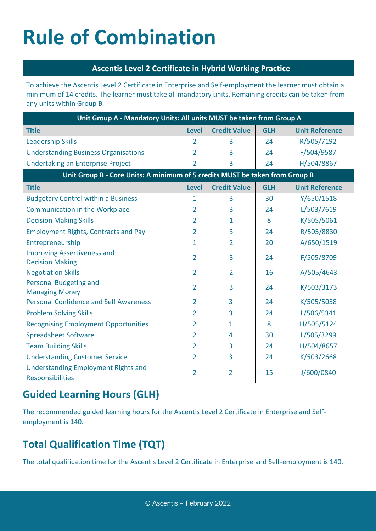### **Rule of Combination**

#### **Ascentis Level 2 Certificate in Hybrid Working Practice**

To achieve the Ascentis Level 2 Certificate in Enterprise and Self-employment the learner must obtain a minimum of 14 credits. The learner must take all mandatory units. Remaining credits can be taken from any units within Group B.

| Unit Group A - Mandatory Units: All units MUST be taken from Group A         |                |                     |            |                       |  |
|------------------------------------------------------------------------------|----------------|---------------------|------------|-----------------------|--|
| <b>Title</b>                                                                 | <b>Level</b>   | <b>Credit Value</b> | <b>GLH</b> | <b>Unit Reference</b> |  |
| <b>Leadership Skills</b>                                                     | 2              | 3                   | 24         | R/505/7192            |  |
| <b>Understanding Business Organisations</b>                                  | $\overline{2}$ | 3                   | 24         | F/504/9587            |  |
| <b>Undertaking an Enterprise Project</b>                                     | $\overline{2}$ | 3                   | 24         | H/504/8867            |  |
| Unit Group B - Core Units: A minimum of 5 credits MUST be taken from Group B |                |                     |            |                       |  |
| <b>Title</b>                                                                 | <b>Level</b>   | <b>Credit Value</b> | <b>GLH</b> | <b>Unit Reference</b> |  |
| <b>Budgetary Control within a Business</b>                                   | 1              | 3                   | 30         | Y/650/1518            |  |
| <b>Communication in the Workplace</b>                                        | $\overline{2}$ | 3                   | 24         | L/503/7619            |  |
| <b>Decision Making Skills</b>                                                | $\overline{2}$ | $\mathbf{1}$        | 8          | K/505/5061            |  |
| <b>Employment Rights, Contracts and Pay</b>                                  | $\overline{2}$ | 3                   | 24         | R/505/8830            |  |
| Entrepreneurship                                                             | $\mathbf{1}$   | $\overline{2}$      | 20         | A/650/1519            |  |
| <b>Improving Assertiveness and</b><br><b>Decision Making</b>                 | $\overline{2}$ | 3                   | 24         | F/505/8709            |  |
| <b>Negotiation Skills</b>                                                    | $\overline{2}$ | $\overline{2}$      | 16         | A/505/4643            |  |
| <b>Personal Budgeting and</b><br><b>Managing Money</b>                       | $\overline{2}$ | 3                   | 24         | K/503/3173            |  |
| <b>Personal Confidence and Self Awareness</b>                                | $\overline{2}$ | 3                   | 24         | K/505/5058            |  |
| <b>Problem Solving Skills</b>                                                | $\overline{2}$ | 3                   | 24         | L/506/5341            |  |
| <b>Recognising Employment Opportunities</b>                                  | $\overline{2}$ | 1                   | 8          | H/505/5124            |  |
| <b>Spreadsheet Software</b>                                                  | $\overline{2}$ | 4                   | 30         | L/505/3299            |  |
| <b>Team Building Skills</b>                                                  | $\overline{2}$ | 3                   | 24         | H/504/8657            |  |
| <b>Understanding Customer Service</b>                                        | $\overline{2}$ | 3                   | 24         | K/503/2668            |  |
| <b>Understanding Employment Rights and</b><br>Responsibilities               | $\overline{2}$ | $\overline{2}$      | 15         | J/600/0840            |  |

### **Guided Learning Hours (GLH)**

The recommended guided learning hours for the Ascentis Level 2 Certificate in Enterprise and Selfemployment is 140.

### **Total Qualification Time (TQT)**

The total qualification time for the Ascentis Level 2 Certificate in Enterprise and Self-employment is 140.